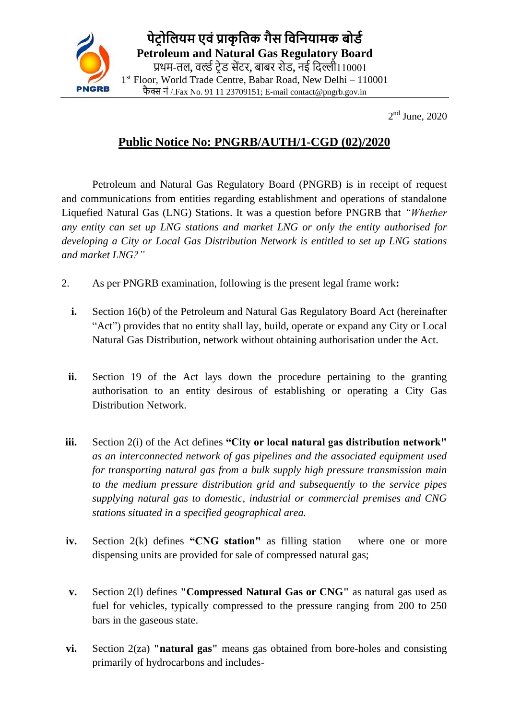

2<sup>nd</sup> June, 2020

## **Public Notice No: PNGRB/AUTH/1-CGD (02)/2020**

Petroleum and Natural Gas Regulatory Board (PNGRB) is in receipt of request and communications from entities regarding establishment and operations of standalone Liquefied Natural Gas (LNG) Stations. It was a question before PNGRB that *"Whether any entity can set up LNG stations and market LNG or only the entity authorised for developing a City or Local Gas Distribution Network is entitled to set up LNG stations and market LNG?"*

- 2. As per PNGRB examination, following is the present legal frame work**:**
	- **i.** Section 16(b) of the Petroleum and Natural Gas Regulatory Board Act (hereinafter "Act") provides that no entity shall lay, build, operate or expand any City or Local Natural Gas Distribution, network without obtaining authorisation under the Act.
	- **ii.** Section 19 of the Act lays down the procedure pertaining to the granting authorisation to an entity desirous of establishing or operating a City Gas Distribution Network.
- **iii.** Section 2(i) of the Act defines **"City or local natural gas distribution network"**  *as an interconnected network of gas pipelines and the associated equipment used for transporting natural gas from a bulk supply high pressure transmission main to the medium pressure distribution grid and subsequently to the service pipes supplying natural gas to domestic, industrial or commercial premises and CNG stations situated in a specified geographical area.*
- **iv.** Section 2(k) defines "CNG station" as filling station where one or more dispensing units are provided for sale of compressed natural gas;
- **v.** Section 2(l) defines **"Compressed Natural Gas or CNG"** as natural gas used as fuel for vehicles, typically compressed to the pressure ranging from 200 to 250 bars in the gaseous state.
- **vi.** Section 2(za) **"natural gas"** means gas obtained from bore-holes and consisting primarily of hydrocarbons and includes-